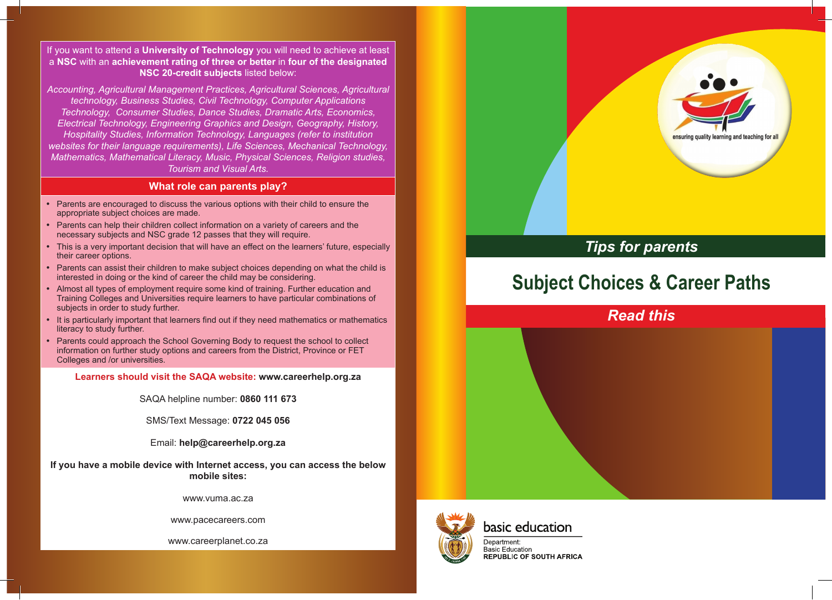If you want to attend a **University of Technology** you will need to achieve at least a **NSC** with an **achievement rating of three or better** in **four of the designated NSC 20-credit subjects** listed below:

*Accounting, Agricultural Management Practices, Agricultural Sciences, Agricultural technology, Business Studies, Civil Technology, Computer Applications Technology, Consumer Studies, Dance Studies, Dramatic Arts, Economics, Electrical Technology, Engineering Graphics and Design, Geography, History, Hospitality Studies, Information Technology, Languages (refer to institution websites for their language requirements), Life Sciences, Mechanical Technology, Mathematics, Mathematical Literacy, Music, Physical Sciences, Religion studies, Tourism and Visual Arts.*

#### **What role can parents play?**

- Parents are encouraged to discuss the various options with their child to ensure the appropriate subject choices are made.
- Parents can help their children collect information on a variety of careers and the necessary subjects and NSC grade 12 passes that they will require.
- • This is a very important decision that will have an effect on the learners' future, especially their career options.
- Parents can assist their children to make subject choices depending on what the child is interested in doing or the kind of career the child may be considering.
- Almost all types of employment require some kind of training. Further education and Training Colleges and Universities require learners to have particular combinations of subjects in order to study further.
- • It is particularly important that learners find out if they need mathematics or mathematics literacy to study further.
- Parents could approach the School Governing Body to request the school to collect information on further study options and careers from the District, Province or FET Colleges and /or universities.

**Learners should visit the SAQA website: www.careerhelp.org.za**

SAQA helpline number: **0860 111 673**

SMS/Text Message: **0722 045 056**

Email: **help@careerhelp.org.za**

**If you have a mobile device with Internet access, you can access the below mobile sites:** 

www.vuma.ac.za

www.pacecareers.com

www.careerplanet.co.za



## *Tips for parents*

# **Subject Choices & Career Paths**







## basic education

Department: **Basic Education REPUBLIC OF SOUTH AFRICA**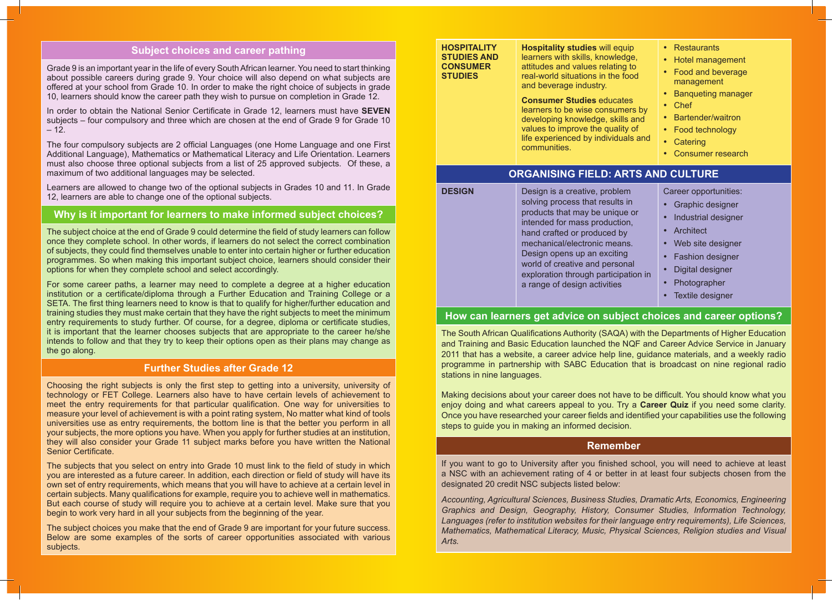#### **Subject choices and career pathing**

Grade 9 is an important year in the life of every South African learner. You need to start thinking about possible careers during grade 9. Your choice will also depend on what subjects are offered at your school from Grade 10. In order to make the right choice of subjects in grade 10, learners should know the career path they wish to pursue on completion in Grade 12.

In order to obtain the National Senior Certificate in Grade 12, learners must have **SEVEN**  subjects – four compulsory and three which are chosen at the end of Grade 9 for Grade 10  $-12.$ 

The four compulsory subjects are 2 official Languages (one Home Language and one First Additional Language), Mathematics or Mathematical Literacy and Life Orientation. Learners must also choose three optional subjects from a list of 25 approved subjects. Of these, a maximum of two additional languages may be selected.

Learners are allowed to change two of the optional subjects in Grades 10 and 11. In Grade 12, learners are able to change one of the optional subjects.

### **Why is it important for learners to make informed subject choices?**

The subject choice at the end of Grade 9 could determine the field of study learners can follow once they complete school. In other words, if learners do not select the correct combination of subjects, they could find themselves unable to enter into certain higher or further education programmes. So when making this important subject choice, learners should consider their options for when they complete school and select accordingly.

For some career paths, a learner may need to complete a degree at a higher education institution or a certificate/diploma through a Further Education and Training College or a SETA. The first thing learners need to know is that to qualify for higher/further education and training studies they must make certain that they have the right subjects to meet the minimum entry requirements to study further. Of course, for a degree, diploma or certificate studies, it is important that the learner chooses subjects that are appropriate to the career he/she intends to follow and that they try to keep their options open as their plans may change as the go along.

#### **Further Studies after Grade 12**

Choosing the right subjects is only the first step to getting into a university, university of technology or FET College. Learners also have to have certain levels of achievement to meet the entry requirements for that particular qualification. One way for universities to measure your level of achievement is with a point rating system, No matter what kind of tools universities use as entry requirements, the bottom line is that the better you perform in all your subjects, the more options you have. When you apply for further studies at an institution, they will also consider your Grade 11 subject marks before you have written the National Senior Certificate.

The subjects that you select on entry into Grade 10 must link to the field of study in which you are interested as a future career. In addition, each direction or field of study will have its own set of entry requirements, which means that you will have to achieve at a certain level in certain subjects. Many qualifications for example, require you to achieve well in mathematics. But each course of study will require you to achieve at a certain level. Make sure that you begin to work very hard in all your subjects from the beginning of the year.

The subject choices you make that the end of Grade 9 are important for your future success. Below are some examples of the sorts of career opportunities associated with various subjects.

| <b>HOSPITALITY</b><br><b>STUDIES AND</b><br><b>CONSUMER</b><br><b>STUDIES</b> | <b>Hospitality studies will equip</b><br>learners with skills, knowledge,<br>attitudes and values relating to<br>real-world situations in the food<br>and beverage industry.<br><b>Consumer Studies educates</b><br>learners to be wise consumers by<br>developing knowledge, skills and<br>values to improve the quality of<br>life experienced by individuals and<br>communities. | <b>Restaurants</b><br>Hotel management<br>Food and beverage<br>management<br><b>Bangueting manager</b><br>Chef<br>Bartender/waitron<br>Food technology<br>Catering<br>$\bullet$<br>Consumer research |  |
|-------------------------------------------------------------------------------|-------------------------------------------------------------------------------------------------------------------------------------------------------------------------------------------------------------------------------------------------------------------------------------------------------------------------------------------------------------------------------------|------------------------------------------------------------------------------------------------------------------------------------------------------------------------------------------------------|--|
| <b>ORGANISING FIELD: ARTS AND CULTURE</b>                                     |                                                                                                                                                                                                                                                                                                                                                                                     |                                                                                                                                                                                                      |  |
| <b>DESIGN</b>                                                                 | Design is a creative, problem<br>solving process that results in<br>products that may be unique or<br>intended for mass production,<br>hand crafted or produced by<br>mechanical/electronic means.                                                                                                                                                                                  | Career opportunities:<br>Graphic designer<br>Industrial designer<br>Architect<br>Web site designer                                                                                                   |  |

• Web site designer

| Design opens up an exciting                                            | • Fashion designer |
|------------------------------------------------------------------------|--------------------|
| world of creative and personal<br>exploration through participation in | • Digital designer |
| a range of design activities                                           | • Photographer     |
|                                                                        | • Textile designer |

Design opens up an exciting

#### **How can learners get advice on subject choices and career options?**

The South African Qualifications Authority (SAQA) with the Departments of Higher Education and Training and Basic Education launched the NQF and Career Advice Service in January 2011 that has a website, a career advice help line, guidance materials, and a weekly radio programme in partnership with SABC Education that is broadcast on nine regional radio stations in nine languages.

Making decisions about your career does not have to be difficult. You should know what you enjoy doing and what careers appeal to you. Try a **Career Quiz** if you need some clarity. Once you have researched your career fields and identified your capabilities use the following steps to guide you in making an informed decision.

#### **Remember**

If you want to go to University after you finished school, you will need to achieve at least a NSC with an achievement rating of 4 or better in at least four subjects chosen from the designated 20 credit NSC subjects listed below:

*Accounting, Agricultural Sciences, Business Studies, Dramatic Arts, Economics, Engineering Graphics and Design, Geography, History, Consumer Studies, Information Technology, Languages (refer to institution websites for their language entry requirements), Life Sciences, Mathematics, Mathematical Literacy, Music, Physical Sciences, Religion studies and Visual Arts.*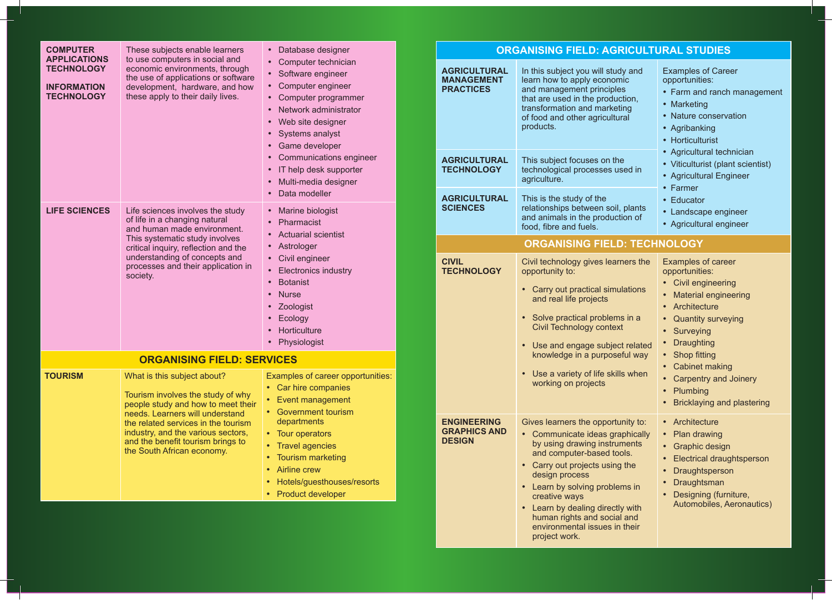| <b>COMPUTER</b><br><b>APPLICATIONS</b><br><b>TECHNOLOGY</b><br><b>INFORMATION</b><br><b>TECHNOLOGY</b> | These subjects enable learners<br>to use computers in social and<br>economic environments, through<br>the use of applications or software<br>development, hardware, and how<br>these apply to their daily lives.                                                                          | Database designer<br>Computer technician<br>Software engineer<br>Computer engineer<br>Computer programmer<br>Network administrator<br>Web site designer<br>Systems analyst<br>• Game developer<br><b>Communications engineer</b><br>IT help desk supporter<br>Multi-media designer<br>Data modeller                      |  |
|--------------------------------------------------------------------------------------------------------|-------------------------------------------------------------------------------------------------------------------------------------------------------------------------------------------------------------------------------------------------------------------------------------------|--------------------------------------------------------------------------------------------------------------------------------------------------------------------------------------------------------------------------------------------------------------------------------------------------------------------------|--|
| <b>LIFE SCIENCES</b>                                                                                   | Life sciences involves the study<br>of life in a changing natural<br>and human made environment.<br>This systematic study involves<br>critical inquiry, reflection and the<br>understanding of concepts and<br>processes and their application in<br>society.                             | Marine biologist<br>Pharmacist<br>$\bullet$<br><b>Actuarial scientist</b><br>Astrologer<br>Civil engineer<br>Electronics industry<br><b>Botanist</b><br>$\bullet$<br><b>Nurse</b><br>$\bullet$<br>Zoologist<br>$\bullet$<br>Ecology<br>Horticulture<br>Physiologist                                                      |  |
|                                                                                                        | <b>ORGANISING FIELD: SERVICES</b>                                                                                                                                                                                                                                                         |                                                                                                                                                                                                                                                                                                                          |  |
| <b>TOURISM</b>                                                                                         | What is this subject about?<br>Tourism involves the study of why<br>people study and how to meet their<br>needs. Learners will understand<br>the related services in the tourism<br>industry, and the various sectors,<br>and the benefit tourism brings to<br>the South African economy. | Examples of career opportunities:<br>Car hire companies<br>Event management<br><b>Government tourism</b><br>departments<br>• Tour operators<br><b>Travel agencies</b><br>$\bullet$<br><b>Tourism marketing</b><br>$\bullet$<br>Airline crew<br>$\bullet$<br>Hotels/guesthouses/resorts<br>Product developer<br>$\bullet$ |  |

| <b>ORGANISING FIELD: AGRICULTURAL STUDIES</b>                |                                                                                                                                                                                                                                                                                                                                                              |                                                                                                                                                                                                                                                                                                        |  |
|--------------------------------------------------------------|--------------------------------------------------------------------------------------------------------------------------------------------------------------------------------------------------------------------------------------------------------------------------------------------------------------------------------------------------------------|--------------------------------------------------------------------------------------------------------------------------------------------------------------------------------------------------------------------------------------------------------------------------------------------------------|--|
| <b>AGRICULTURAL</b><br><b>MANAGEMENT</b><br><b>PRACTICES</b> | In this subject you will study and<br>learn how to apply economic<br>and management principles<br>that are used in the production,<br>transformation and marketing<br>of food and other agricultural<br>products.                                                                                                                                            | <b>Examples of Career</b><br>opportunities:<br>• Farm and ranch management<br>• Marketing<br>• Nature conservation<br>• Agribanking<br>• Horticulturist                                                                                                                                                |  |
| <b>AGRICULTURAL</b><br><b>TECHNOLOGY</b>                     | This subject focuses on the<br>technological processes used in<br>agriculture.                                                                                                                                                                                                                                                                               | • Agricultural technician<br>• Viticulturist (plant scientist)<br>• Agricultural Engineer<br>• Farmer                                                                                                                                                                                                  |  |
| <b>AGRICULTURAL</b><br><b>SCIENCES</b>                       | This is the study of the<br>relationships between soil, plants<br>and animals in the production of<br>food, fibre and fuels.                                                                                                                                                                                                                                 | • Educator<br>• Landscape engineer<br>• Agricultural engineer                                                                                                                                                                                                                                          |  |
|                                                              | <b>ORGANISING FIELD: TECHNOLOGY</b>                                                                                                                                                                                                                                                                                                                          |                                                                                                                                                                                                                                                                                                        |  |
| <b>CIVIL</b><br><b>TECHNOLOGY</b>                            | Civil technology gives learners the<br>opportunity to:<br>Carry out practical simulations<br>and real life projects<br>Solve practical problems in a<br>Civil Technology context<br>Use and engage subject related<br>knowledge in a purposeful way<br>Use a variety of life skills when<br>working on projects                                              | Examples of career<br>opportunities:<br>Civil engineering<br>Material engineering<br>$\bullet$<br>Architecture<br><b>Quantity surveying</b><br>Surveying<br>Draughting<br>Shop fitting<br><b>Cabinet making</b><br><b>Carpentry and Joinery</b><br>Plumbing<br>$\bullet$<br>Bricklaying and plastering |  |
| <b>ENGINEERING</b><br><b>GRAPHICS AND</b><br><b>DESIGN</b>   | Gives learners the opportunity to:<br>• Communicate ideas graphically<br>by using drawing instruments<br>and computer-based tools.<br>Carry out projects using the<br>design process<br>• Learn by solving problems in<br>creative ways<br>• Learn by dealing directly with<br>human rights and social and<br>environmental issues in their<br>project work. | • Architecture<br>Plan drawing<br>Graphic design<br>Electrical draughtsperson<br>$\bullet$<br>Draughtsperson<br>Draughtsman<br>Designing (furniture,<br>Automobiles, Aeronautics)                                                                                                                      |  |